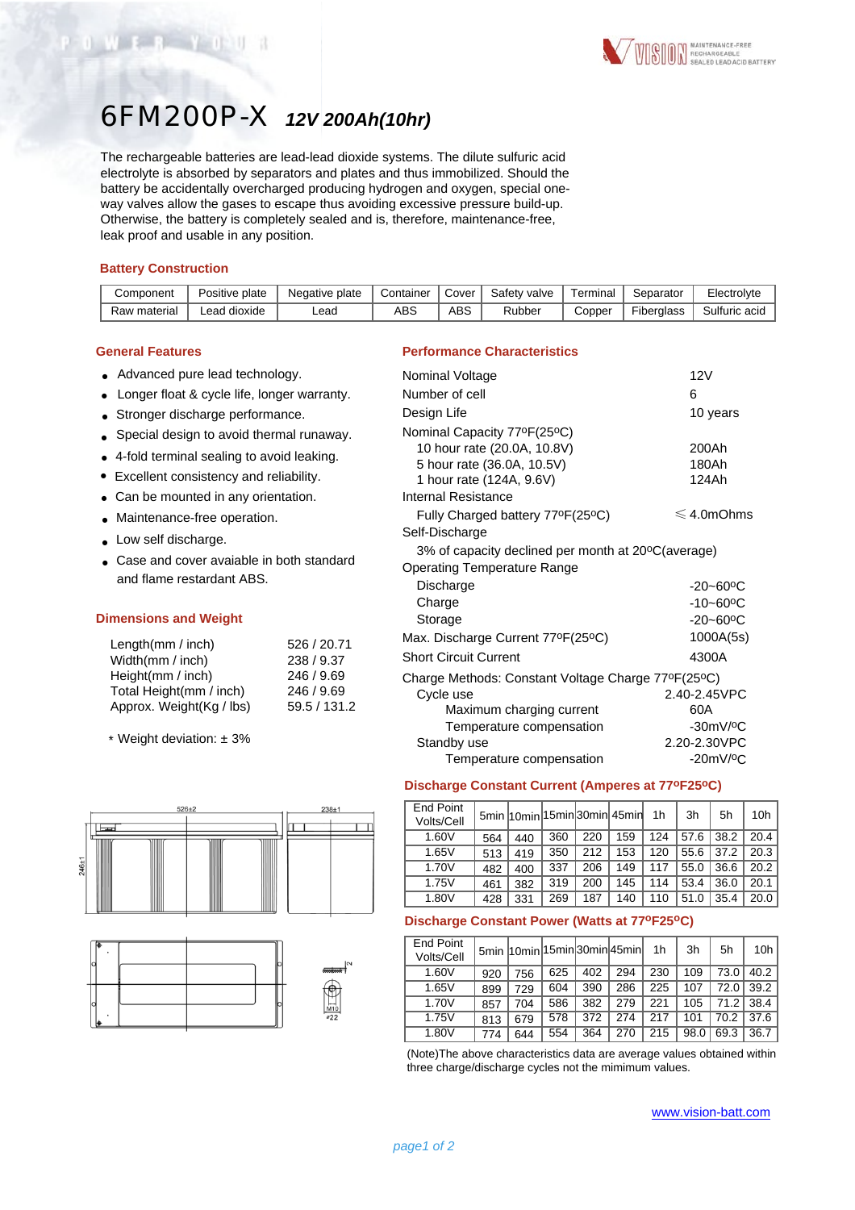# 6FM200P-X *12V 200Ah(10hr)*

The rechargeable batteries are lead-lead dioxide systems. The dilute sulfuric acid electrolyte is absorbed by separators and plates and thus immobilized. Should the battery be accidentally overcharged producing hydrogen and oxygen, special oneway valves allow the gases to escape thus avoiding excessive pressure build-up. Otherwise, the battery is completely sealed and is, therefore, maintenance-free, leak proof and usable in any position.

#### **Battery Construction**

OWER YOUR

| Component    | Positive plate | Negative plate | Container | Cover | Safety valve | Terminal | Separator         | Electrolvte   |
|--------------|----------------|----------------|-----------|-------|--------------|----------|-------------------|---------------|
| Raw material | Lead dioxide   | -ead           | ABS       | ABS   | Rubber       | Copper   | <b>Fiberalass</b> | Sulfuric acid |

#### **General Features**

- Advanced pure lead technology.
- Longer float & cycle life, longer warranty.
- Stronger discharge performance.
- Special design to avoid thermal runaway.
- 4-fold terminal sealing to avoid leaking.
- Excellent consistency and reliability.
- Can be mounted in any orientation.
- Maintenance-free operation.
- Low self discharge.
- Case and cover avaiable in both standard and flame restardant ABS.

### **Dimensions and Weight**

| Length $(mm / inch)$     | 526 / 20.71  |
|--------------------------|--------------|
| Width(mm / inch)         | 238 / 9.37   |
| Height(mm / inch)        | 246 / 9.69   |
| Total Height(mm / inch)  | 246 / 9.69   |
| Approx. Weight(Kg / lbs) | 59.5 / 131.2 |

\* Weight deviation: ± 3%





#### **Performance Characteristics**

| Nominal Voltage                                    | 12V                       |
|----------------------------------------------------|---------------------------|
| Number of cell                                     | 6                         |
| Design Life                                        | 10 years                  |
| Nominal Capacity 77ºF(25°C)                        |                           |
| 10 hour rate (20.0A, 10.8V)                        | 200Ah                     |
| 5 hour rate (36.0A, 10.5V)                         | 180Ah                     |
| 1 hour rate (124A, 9.6V)                           | 124Ah                     |
| <b>Internal Resistance</b>                         |                           |
| Fully Charged battery 77°F(25°C)                   | $\leqslant$ 4.0mOhms      |
| Self-Discharge                                     |                           |
| 3% of capacity declined per month at 20°C(average) |                           |
| <b>Operating Temperature Range</b>                 |                           |
| Discharge                                          | $-20 - 60$ <sup>o</sup> C |
| Charge                                             | $-10 - 60$ °C             |
| Storage                                            | $-20 - 60$ <sup>o</sup> C |
| Max. Discharge Current 77°F(25°C)                  | 1000A(5s)                 |
| <b>Short Circuit Current</b>                       | 4300A                     |
| Charge Methods: Constant Voltage Charge 77ºF(25ºC) |                           |
| Cycle use                                          | 2.40-2.45VPC              |
| Maximum charging current                           | 60A                       |
| Temperature compensation                           | $-30mV$ / $°C$            |
| Standby use                                        | 2.20-2.30VPC              |
| Temperature compensation                           | $-20mV/°C$                |
|                                                    |                           |

#### **Discharge Constant Current (Amperes at 77oF25oC)**

| End Point<br>Volts/Cell |     |     |     |     | 5min 10min 15min 30min 45min | 1 <sub>h</sub> | 3h   | 5h   | 10 <sub>h</sub> |
|-------------------------|-----|-----|-----|-----|------------------------------|----------------|------|------|-----------------|
| 1.60V                   | 564 | 440 | 360 | 220 | 159                          | 124            | 57.6 | 38.2 | 20.4            |
| 1.65V                   | 513 | 419 | 350 | 212 | 153                          | 120            | 55.6 | 37.2 | 20.3            |
| 1.70V                   | 482 | 400 | 337 | 206 | 149                          | 117            | 55.0 | 36.6 | 20.2            |
| 1.75V                   | 461 | 382 | 319 | 200 | 145                          | 114            | 53.4 | 36.0 | 20.1            |
| 1.80V                   | 428 | 331 | 269 | 187 | 140                          | 110            | 51.0 | 35.4 | 20.0            |

### **Discharge Constant Power (Watts at 77oF25oC)**

| End Point<br>Volts/Cell |     |     |     |     | 5min 10min 15min 30min 45min | 1 <sub>h</sub> | 3h   | 5h   | 10 <sub>h</sub> |
|-------------------------|-----|-----|-----|-----|------------------------------|----------------|------|------|-----------------|
| 1.60V                   | 920 | 756 | 625 | 402 | 294                          | 230            | 109  | 73.0 | 40.2            |
| 1.65V                   | 899 | 729 | 604 | 390 | 286                          | 225            | 107  | 72.0 | 39.2            |
| 1.70V                   | 857 | 704 | 586 | 382 | 279                          | 221            | 105  | 71.2 | 38.4            |
| 1.75V                   | 813 | 679 | 578 | 372 | 274                          | 217            | 101  | 70.2 | 37.6            |
| 1.80V                   | 774 | 644 | 554 | 364 | 270                          | 215            | 98.0 | 69.3 | 36.7            |

(Note)The above characteristics data are average values obtained within three charge/discharge cycles not the mimimum values.